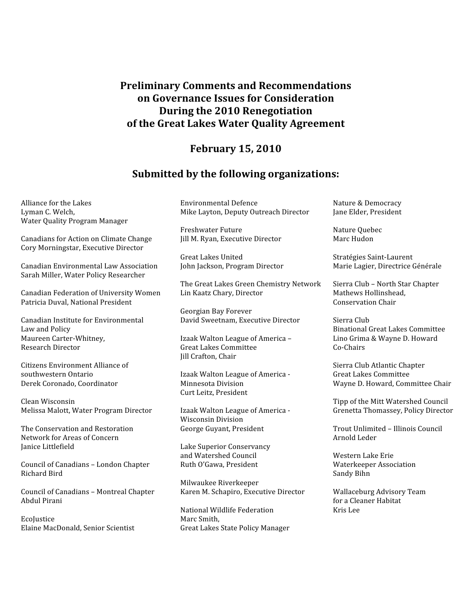# **Preliminary
Comments
and
Recommendations on
Governance
Issues
for
Consideration During
the
2010
Renegotiation of
the
Great
Lakes
Water
Quality
Agreement**

## **February
15,
2010**

### **Submitted
by
the
following
organizations:**

Alliance
for
the
Lakes Lyman
C.
Welch, Water
Quality
Program
Manager

Canadians
for
Action
on
Climate
Change Cory
Morningstar,
Executive
Director

Canadian
Environmental
Law
Association Sarah
Miller,
Water
Policy
Researcher

Canadian
Federation
of
University
Women Patricia
Duval,
National
President

Canadian
Institute
for
Environmental Law
and
Policy Maureen
Carter‐Whitney, Research
Director

Citizens
Environment
Alliance
of southwestern
Ontario Derek
Coronado,
Coordinator

Clean
Wisconsin Melissa
Malott,
Water
Program
Director

The
Conservation
and
Restoration Network
for
Areas
of
Concern Janice
Littlefield

Council
of
Canadians
–
London
Chapter Richard
Bird

Council
of
Canadians
–
Montreal
Chapter Abdul
Pirani

EcoJustice Elaine
MacDonald,
Senior
Scientist Environmental
Defence Mike
Layton,
Deputy
Outreach
Director

Freshwater
Future Jill
M.
Ryan,
Executive
Director

Great
Lakes
United John
Jackson,
Program
Director

The
Great
Lakes
Green
Chemistry
Network Lin
Kaatz
Chary,
Director

Georgian
Bay
Forever David
Sweetnam,
Executive
Director

Izaak
Walton
League
of
America
– Great
Lakes
Committee Jill
Crafton,
Chair

Izaak
Walton
League
of
America
‐ Minnesota
Division Curt
Leitz,
President

Izaak
Walton
League
of
America
‐ Wisconsin
Division George
Guyant,
President

Lake
Superior
Conservancy and
Watershed
Council Ruth
O'Gawa,
President

Milwaukee
Riverkeeper Karen
M.
Schapiro,
Executive
Director

National
Wildlife
Federation Marc
Smith, Great
Lakes
State
Policy
Manager Nature
&
Democracy Jane
Elder,
President

Nature
Quebec Marc
Hudon

Stratégies
Saint‐Laurent Marie
Lagier,
Directrice
Générale

Sierra
Club
–
North
Star
Chapter Mathews
Hollinshead, Conservation
Chair

Sierra
Club Binational
Great
Lakes
Committee Lino
Grima
&
Wayne
D.
Howard Co‐Chairs

Sierra
Club
Atlantic
Chapter Great
Lakes
Committee Wayne
D.
Howard,
Committee
Chair

Tipp
of
the
Mitt
Watershed
Council Grenetta
Thomassey,
Policy
Director

Trout
Unlimited
–
Illinois
Council Arnold
Leder

Western
Lake
Erie Waterkeeper
Association Sandy
Bihn

Wallaceburg
Advisory
Team for
a
Cleaner
Habitat Kris
Lee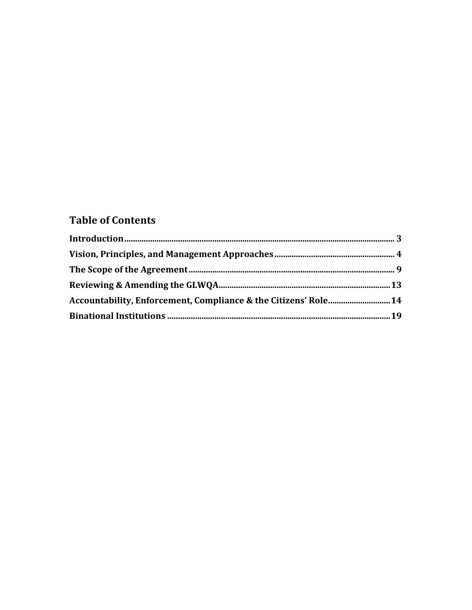# **Table of Contents**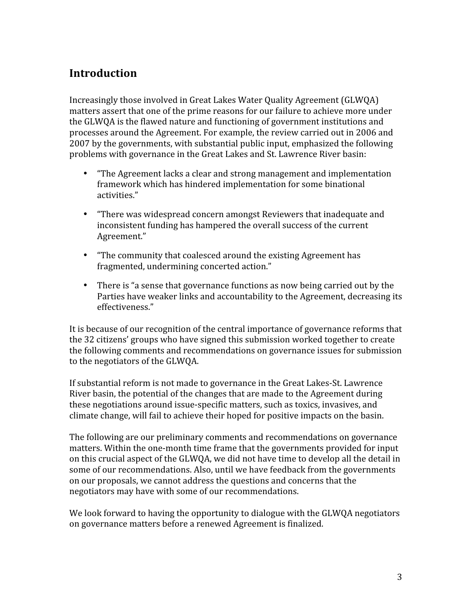# **Introduction**

Increasingly those involved in Great Lakes Water Quality Agreement (GLWQA) matters assert that one of the prime reasons for our failure to achieve more under the
GLWQA
is
the
flawed
nature
and
functioning
of
government
institutions
and processes
around
the
Agreement.
For
example,
the
review
carried
out
in
2006
and 2007
by
the
governments,
with
substantial
public
input,
emphasized
the
following problems
with
governance
in
the
Great
Lakes
and
St.
Lawrence
River
basin:

- "The Agreement lacks a clear and strong management and implementation framework
which
has
hindered
implementation
for
some
binational activities."
- "There was widespread concern amongst Reviewers that inadequate and inconsistent
funding
has
hampered
the
overall
success
of
the
current Agreement."
- "The community that coalesced around the existing Agreement has fragmented,
undermining
concerted
action."
- There is "a sense that governance functions as now being carried out by the Parties
have
weaker
links
and
accountability
to
the
Agreement,
decreasing
its effectiveness."

It is because of our recognition of the central importance of governance reforms that the 32 citizens' groups who have signed this submission worked together to create the
following
comments
and
recommendations
on
governance
issues
for
submission to
the
negotiators
of
the
GLWQA.

If
substantial
reform
is
not
made
to
governance
in
the
Great
Lakes‐St.
Lawrence River basin, the potential of the changes that are made to the Agreement during these negotiations around issue-specific matters, such as toxics, invasives, and climate change, will fail to achieve their hoped for positive impacts on the basin.

The following are our preliminary comments and recommendations on governance matters. Within the one-month time frame that the governments provided for input on
this
crucial
aspect
of
the
GLWQA,
we
did
not
have
time
to
develop
all
the
detail
in some
of
our
recommendations.
Also,
until
we
have
feedback
from
the
governments on
our
proposals,
we
cannot
address
the
questions
and
concerns
that
the negotiators
may
have
with
some
of
our
recommendations.

We look forward to having the opportunity to dialogue with the GLWOA negotiators on
governance
matters
before
a
renewed
Agreement
is
finalized.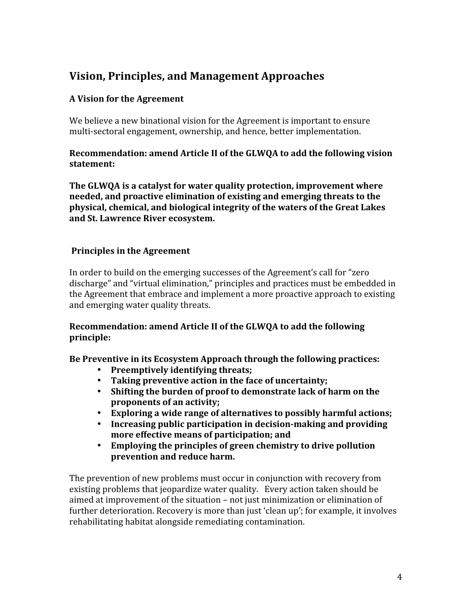# **Vision,
Principles,
and
Management
Approaches**

## **A
Vision
for
the
Agreement**

We believe a new binational vision for the Agreement is important to ensure multi‐sectoral
engagement,
ownership,
and
hence,
better
implementation.

### Recommendation: amend Article II of the GLWOA to add the following vision **statement:**

The GLWQA is a catalyst for water quality protection, improvement where **needed,
and
proactive
elimination
of
existing
and
emerging
threats
to
the physical,
chemical,
and
biological
integrity
of
the
waters
of
the
Great
Lakes and
St.
Lawrence
River
ecosystem.**

# **Principles
in
the
Agreement**

In order to build on the emerging successes of the Agreement's call for "zero" discharge"
and
"virtual
elimination,"
principles
and
practices
must
be
embedded
in the Agreement that embrace and implement a more proactive approach to existing and
emerging
water
quality
threats.

### **Recommendation:
amend
Article
II
of
the
GLWQA
to
add
the
following principle:**

Be Preventive in its Ecosystem Approach through the following practices:

- **Preemptively
identifying
threats;**
- **Taking
preventive
action
in
the
face
of
uncertainty;**
- Shifting the burden of proof to demonstrate lack of harm on the **proponents
of
an
activity;**
- Exploring a wide range of alternatives to possibly harmful actions;
- Increasing public participation in decision-making and providing **more
effective
means
of
participation;
and**
- **Employing
the
principles
of
green
chemistry
to
drive
pollution prevention
and
reduce
harm.**

The prevention of new problems must occur in conjunction with recovery from existing
problems
that
jeopardize
water
quality.

Every
action
taken
should
be aimed
at
improvement
of
the
situation
–
not
just
minimization
or
elimination
of further deterioration. Recovery is more than just 'clean up'; for example, it involves rehabilitating habitat alongside remediating contamination.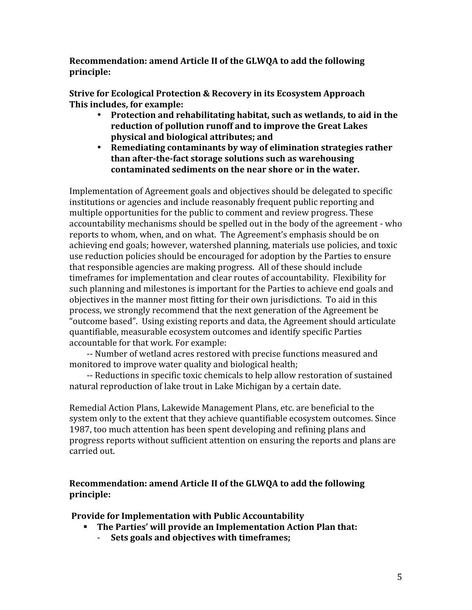**Recommendation:
amend
Article
II
of
the
GLWQA
to
add
the
following principle:**

**Strive
for
Ecological
Protection
&
Recovery
in
its
Ecosystem
Approach This
includes,
for
example:**

- Protection and rehabilitating habitat, such as wetlands, to aid in the **reduction
of
pollution
runoff
and
to
improve
the
Great
Lakes physical
and
biological
attributes;
and**
- **Remediating
contaminants
by
way
of
elimination
strategies
rather**  than after-the-fact storage solutions such as warehousing **contaminated
sediments
on
the
near
shore
or
in
the
water.**

Implementation
of
Agreement
goals
and
objectives
should
be
delegated
to
specific institutions or agencies and include reasonably frequent public reporting and multiple opportunities for the public to comment and review progress. These accountability
mechanisms
should
be
spelled
out
in
the
body
of
the
agreement
‐
who reports to whom, when, and on what. The Agreement's emphasis should be on achieving
end
goals;
however,
watershed
planning,
materials
use
policies,
and
toxic use
reduction
policies
should
be
encouraged
for
adoption
by
the
Parties
to
ensure that
responsible
agencies
are
making
progress.

All
of
these
should
include time frames for implementation and clear routes of accountability. Flexibility for such
planning
and
milestones
is
important
for
the
Parties
to
achieve
end
goals
and objectives in the manner most fitting for their own jurisdictions. To aid in this process,
we
strongly
recommend
that
the
next
generation
of
the
Agreement
be "outcome
based".

Using
existing
reports
and
data,
the
Agreement
should
articulate quantifiable,
measurable
ecosystem
outcomes
and
identify
specific
Parties accountable
for
that
work.
For
example:

‐‐
Number
of
wetland
acres
restored
with
precise
functions
measured
and monitored to improve water quality and biological health;

‐‐
Reductions
in
specific
toxic
chemicals
to
help
allow
restoration
of
sustained natural
reproduction
of
lake
trout
in
Lake
Michigan
by
a
certain
date.

Remedial
Action
Plans,
Lakewide
Management
Plans,
etc.
are
beneficial
to
the system only to the extent that they achieve quantifiable ecosystem outcomes. Since 1987,
too
much
attention
has
been
spent
developing
and
refining
plans
and progress
reports
without
sufficient
attention
on
ensuring
the
reports
and
plans
are carried
out.

### **Recommendation:
amend
Article
II
of
the
GLWQA
to
add
the
following principle:**

**Provide
for
Implementation
with
Public
Accountability** 

- **The
Parties'
will
provide
an
Implementation
Action
Plan
that:**
	- ‐ **Sets
	goals
	and
	objectives
	with
	timeframes;**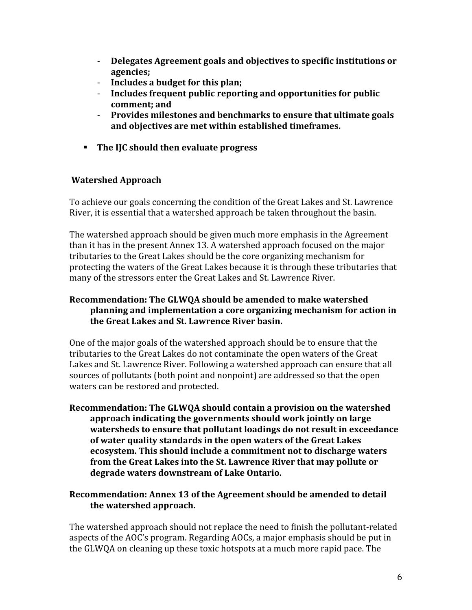- ‐ **Delegates
Agreement
goals
and
objectives
to
specific
institutions
or agencies;**
- ‐ **Includes
a
budget
for
this
plan;**
- Includes frequent public reporting and opportunities for public **comment;
and**
- ‐ **Provides
milestones
and
benchmarks
to
ensure
that
ultimate
goals and
objectives
are
met
within
established
timeframes.**
- **The IIC should then evaluate progress**

### **Watershed
Approach**

To
achieve
our
goals
concerning
the
condition
of
the
Great
Lakes
and
St.
Lawrence River,
it
is
essential
that
a
watershed
approach
be
taken
throughout
the
basin.

The
watershed
approach
should
be
given
much
more
emphasis
in
the
Agreement than it has in the present Annex 13. A watershed approach focused on the major tributaries
to
the
Great
Lakes
should
be
the
core
organizing
mechanism
for protecting the waters of the Great Lakes because it is through these tributaries that many
of
the
stressors
enter
the
Great
Lakes
and
St.
Lawrence
River.

### **Recommendation:
The
GLWQA
should
be
amended
to
make
watershed planning
and
implementation
a
core
organizing
mechanism
for
action
in the
Great
Lakes
and
St.
Lawrence
River
basin.**

One of the major goals of the watershed approach should be to ensure that the tributaries to the Great Lakes do not contaminate the open waters of the Great Lakes and St. Lawrence River. Following a watershed approach can ensure that all sources
of
pollutants
(both
point
and
nonpoint)
are
addressed
so
that
the
open waters
can
be
restored
and
protected.

Recommendation: The GLWOA should contain a provision on the watershed **approach
indicating
the
governments
should
work
jointly
on
large**  watersheds to ensure that pollutant loadings do not result in exceedance **of
water
quality
standards
in
the
open
waters
of
the
Great
Lakes**  ecosystem. This should include a commitment not to discharge waters from the Great Lakes into the St. Lawrence River that may pollute or **degrade
waters
downstream
of
Lake
Ontario.**

### **Recommendation:
Annex
13
of
the
Agreement
should
be
amended
to
detail the
watershed
approach.**

The
watershed
approach
should
not
replace
the
need
to
finish
the
pollutant‐related aspects
of
the
AOC's
program.
Regarding
AOCs,
a
major
emphasis
should
be
put
in the GLWQA on cleaning up these toxic hotspots at a much more rapid pace. The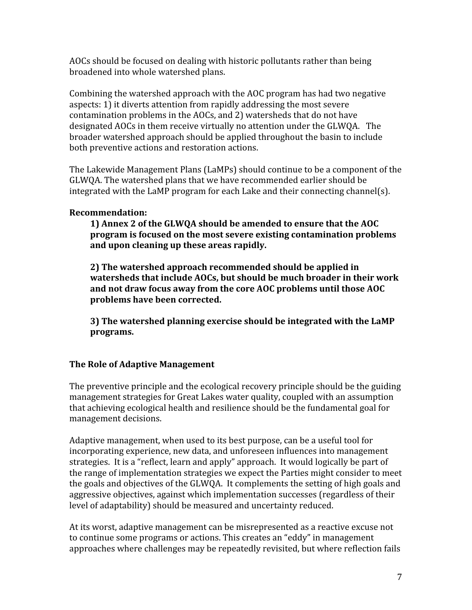AOCs
should
be
focused
on
dealing
with
historic
pollutants
rather
than
being broadened
into
whole
watershed
plans.

Combining
the
watershed
approach
with
the
AOC
program
has
had
two
negative aspects:
1)
it
diverts
attention
from
rapidly
addressing
the
most
severe contamination
problems
in
the
AOCs,
and
2)
watersheds
that
do
not
have designated AOCs in them receive virtually no attention under the GLWQA. The broader
watershed
approach
should
be
applied
throughout
the
basin
to
include both
preventive
actions
and
restoration
actions.

The Lakewide Management Plans (LaMPs) should continue to be a component of the GLWQA. The watershed plans that we have recommended earlier should be integrated with the LaMP program for each Lake and their connecting channel(s).

## **Recommendation:**

**1)
Annex
2
of
the
GLWQA
should
be
amended
to
ensure
that
the
AOC program
is
focused
on
the
most
severe
existing
contamination
problems and
upon
cleaning
up
these
areas
rapidly.** 

**2)
The
watershed
approach
recommended
should
be
applied
in**  watersheds that include AOCs, but should be much broader in their work and not draw focus away from the core AOC problems until those AOC **problems
have
been
corrected.** 

**3)
The
watershed
planning
exercise
should
be
integrated
with
the
LaMP programs.**

## **The
Role
of
Adaptive
Management**

The preventive principle and the ecological recovery principle should be the guiding management
strategies
for
Great
Lakes
water
quality,
coupled
with
an
assumption that achieving ecological health and resilience should be the fundamental goal for management
decisions.

Adaptive management, when used to its best purpose, can be a useful tool for incorporating
experience,
new
data,
and
unforeseen
influences
into
management strategies. It is a "reflect, learn and apply" approach. It would logically be part of the
range
of
implementation
strategies
we
expect
the
Parties
might
consider
to
meet the
goals
and
objectives
of
the
GLWQA. It
complements
the
setting
of
high
goals
and aggressive objectives, against which implementation successes (regardless of their level
of
adaptability)
should
be
measured
and
uncertainty
reduced.

At
its
worst,
adaptive
management
can
be
misrepresented
as
a
reactive
excuse
not to continue some programs or actions. This creates an "eddy" in management approaches
where
challenges
may
be
repeatedly
revisited,
but
where
reflection
fails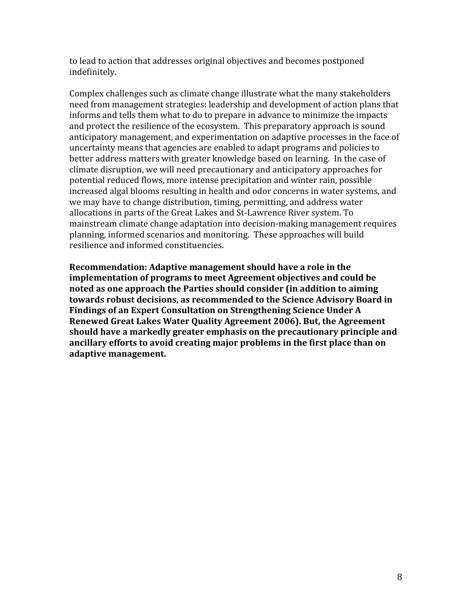to
lead
to
action
that
addresses
original
objectives
and
becomes
postponed indefinitely.

Complex challenges such as climate change illustrate what the many stakeholders need
from
management
strategies:
leadership
and
development
of
action
plans
that informs
and
tells
them
what
to
do
to
prepare
in
advance
to
minimize
the
impacts and protect the resilience of the ecosystem. This preparatory approach is sound anticipatory
management,
and
experimentation
on
adaptive
processes
in
the
face
of uncertainty
means
that
agencies
are
enabled
to
adapt
programs
and
policies
to better address matters with greater knowledge based on learning. In the case of climate
disruption,
we
will
need
precautionary
and
anticipatory
approaches
for potential reduced flows, more intense precipitation and winter rain, possible increased
algal
blooms
resulting
in
health
and
odor
concerns
in
water
systems,
and we
may
have
to
change
distribution,
timing,
permitting,
and
address
water allocations in parts of the Great Lakes and St-Lawrence River system. To mainstream
climate
change
adaptation
into
decision‐making
management
requires planning,
informed
scenarios
and
monitoring. These
approaches
will
build resilience
and
informed
constituencies.

**Recommendation:
Adaptive
management
should
have
a
role
in
the implementation
of
programs
to
meet
Agreement
objectives
and
could
be noted
as
one
approach
the
Parties
should
consider
(in
addition
to
aiming towards
robust
decisions,
as
recommended
to
the
Science
Advisory
Board
in**  Findings of an Expert Consultation on Strengthening Science Under A **Renewed
Great
Lakes
Water
Quality
Agreement
2006).
But,
the
Agreement should
have
a
markedly
greater
emphasis
on
the
precautionary
principle
and**  ancillary efforts to avoid creating major problems in the first place than on **adaptive
management.**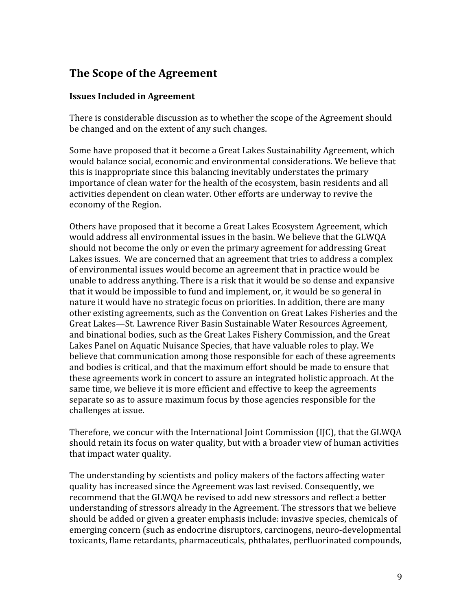# **The
Scope
of
the
Agreement**

### **Issues
Included
in
Agreement**

There
is
considerable
discussion
as
to
whether
the
scope
of
the
Agreement
should be
changed
and
on
the
extent
of
any
such
changes.

Some
have
proposed
that
it
become
a
Great
Lakes
Sustainability
Agreement,
which would balance social, economic and environmental considerations. We believe that this is inappropriate since this balancing inevitably understates the primary importance of clean water for the health of the ecosystem, basin residents and all activities
dependent
on
clean
water.
Other
efforts
are
underway
to
revive
the economy
of
the
Region.

Others
have
proposed
that
it
become
a
Great
Lakes
Ecosystem
Agreement,
which would
address
all
environmental
issues
in
the
basin.
We
believe
that
the
GLWQA should not become the only or even the primary agreement for addressing Great Lakes issues. We are concerned that an agreement that tries to address a complex of
environmental
issues
would
become
an
agreement
that
in
practice
would
be unable
to
address
anything.
There
is
a
risk
that
it
would
be
so
dense
and
expansive that it would be impossible to fund and implement, or, it would be so general in nature it would have no strategic focus on priorities. In addition, there are many other
existing
agreements,
such
as
the
Convention
on
Great
Lakes
Fisheries
and
the Great
Lakes—St.
Lawrence
River
Basin
Sustainable
Water
Resources
Agreement, and
binational
bodies,
such
as
the
Great
Lakes
Fishery
Commission,
and
the
Great Lakes Panel on Aquatic Nuisance Species, that have valuable roles to play. We believe
that
communication
among
those
responsible
for
each
of
these
agreements and bodies is critical, and that the maximum effort should be made to ensure that these agreements work in concert to assure an integrated holistic approach. At the same time, we believe it is more efficient and effective to keep the agreements separate so as to assure maximum focus by those agencies responsible for the challenges
at
issue.

Therefore, we concur with the International Joint Commission (IJC), that the GLWQA should retain its focus on water quality, but with a broader view of human activities that
impact
water
quality.

The understanding by scientists and policy makers of the factors affecting water quality
has
increased
since
the
Agreement
was
last
revised.
Consequently,
we recommend that the GLWQA be revised to add new stressors and reflect a better understanding of stressors already in the Agreement. The stressors that we believe should be added or given a greater emphasis include: invasive species, chemicals of emerging
concern
(such
as
endocrine
disruptors,
carcinogens,
neuro‐developmental toxicants, flame retardants, pharmaceuticals, phthalates, perfluorinated compounds,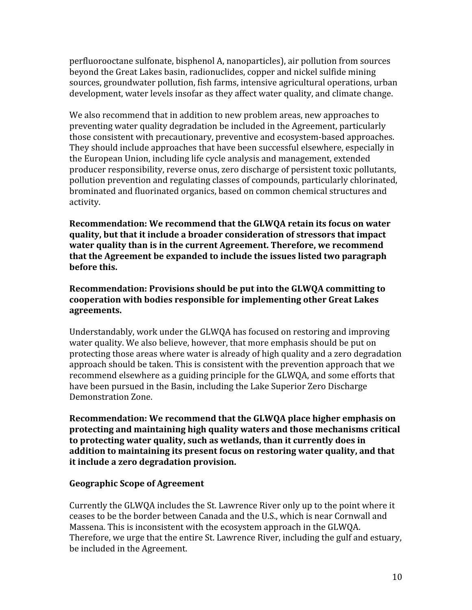perfluorooctane
sulfonate,
bisphenol
A,
nanoparticles),
air
pollution
from
sources beyond
the
Great
Lakes
basin,
radionuclides,
copper
and
nickel
sulfide
mining sources,
groundwater
pollution,
fish
farms,
intensive
agricultural
operations,
urban development, water levels insofar as they affect water quality, and climate change.

We also recommend that in addition to new problem areas, new approaches to preventing
water
quality
degradation
be
included
in
the
Agreement,
particularly those
consistent
with
precautionary,
preventive
and
ecosystem‐based
approaches. They
should
include
approaches
that
have
been
successful
elsewhere,
especially
in the
European
Union,
including
life
cycle
analysis
and
management,
extended producer
responsibility,
reverse
onus,
zero
discharge
of
persistent
toxic
pollutants, pollution prevention and regulating classes of compounds, particularly chlorinated, brominated and fluorinated organics, based on common chemical structures and activity.

Recommendation: We recommend that the GLWQA retain its focus on water quality, but that it include a broader consideration of stressors that impact water quality than is in the current Agreement. Therefore, we recommend that the Agreement be expanded to include the issues listed two paragraph **before
this.**

### Recommendation: Provisions should be put into the GLWQA committing to **cooperation
with
bodies
responsible
for
implementing
other
Great
Lakes agreements.**

Understandably, work under the GLWQA has focused on restoring and improving water quality. We also believe, however, that more emphasis should be put on protecting
those
areas
where
water
is
already
of
high
quality
and
a
zero
degradation approach
should
be
taken.
This
is
consistent
with
the
prevention
approach
that
we recommend elsewhere as a guiding principle for the GLWQA, and some efforts that have been pursued in the Basin, including the Lake Superior Zero Discharge Demonstration
Zone.

Recommendation: We recommend that the GLWQA place higher emphasis on **protecting
and
maintaining
high
quality
waters
and
those
mechanisms
critical to
protecting
water
quality,
such
as
wetlands,
than
it
currently
does
in**  addition to maintaining its present focus on restoring water quality, and that **it
include
a
zero
degradation
provision.**

### **Geographic
Scope
of
Agreement**

Currently
the
GLWQA
includes
the
St.
Lawrence
River
only
up
to
the
point
where
it ceases
to
be
the
border
between
Canada
and
the
U.S.,
which
is
near
Cornwall
and Massena.
This
is
inconsistent
with
the
ecosystem
approach
in
the
GLWQA. Therefore, we urge that the entire St. Lawrence River, including the gulf and estuary, be
included
in
the
Agreement.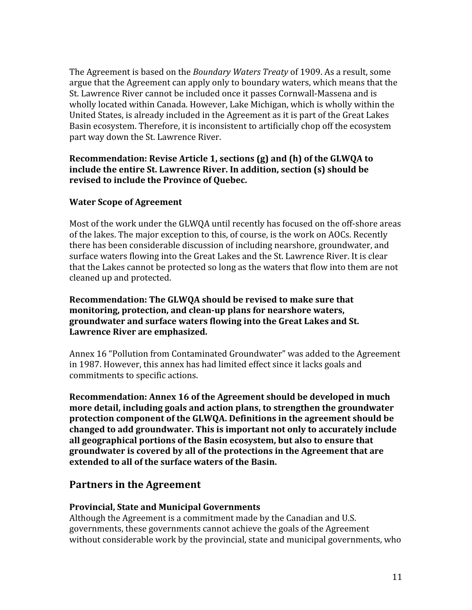The Agreement is based on the *Boundary Waters Treaty* of 1909. As a result, some argue that the Agreement can apply only to boundary waters, which means that the St. Lawrence River cannot be included once it passes Cornwall-Massena and is wholly located within Canada. However, Lake Michigan, which is wholly within the United States, is already included in the Agreement as it is part of the Great Lakes Basin ecosystem. Therefore, it is inconsistent to artificially chop off the ecosystem part
way
down
the
St.
Lawrence
River.

### Recommendation: Revise Article 1, sections (g) and (h) of the GLWQA to include the entire St. Lawrence River. In addition, section (s) should be **revised
to
include
the
Province
of
Quebec.**

## **Water
Scope
of
Agreement**

Most of the work under the GLWOA until recently has focused on the off-shore areas of
the
lakes.
The
major
exception
to
this,
of
course,
is
the
work
on
AOCs.
Recently there
has
been
considerable
discussion
of
including
nearshore,
groundwater,
and surface waters flowing into the Great Lakes and the St. Lawrence River. It is clear that
the
Lakes
cannot
be
protected
so
long
as
the
waters
that
flow
into
them
are
not cleaned
up
and
protected.

### **Recommendation:
The
GLWQA
should
be
revised
to
make
sure
that**  monitoring, protection, and clean-up plans for nearshore waters, groundwater and surface waters flowing into the Great Lakes and St. **Lawrence
River
are
emphasized.**

Annex
16
"Pollution
from
Contaminated
Groundwater"
was
added
to
the
Agreement in 1987. However, this annex has had limited effect since it lacks goals and commitments
to
specific
actions.

**Recommendation:
Annex
16
of
the
Agreement
should
be
developed
in
much**  more detail, including goals and action plans, to strengthen the groundwater **protection
component
of
the
GLWQA.
Definitions
in
the
agreement
should
be changed
to
add
groundwater.
This
is
important
not
only
to
accurately
include**  all geographical portions of the Basin ecosystem, but also to ensure that **groundwater
is
covered
by
all
of
the
protections
in
the
Agreement
that
are**  extended to all of the surface waters of the Basin.

# **Partners
in
the
Agreement**

### **Provincial,
State
and
Municipal
Governments**

Although
the
Agreement
is
a
commitment
made
by
the
Canadian
and
U.S. governments,
these
governments
cannot
achieve
the
goals
of
the
Agreement without considerable work by the provincial, state and municipal governments, who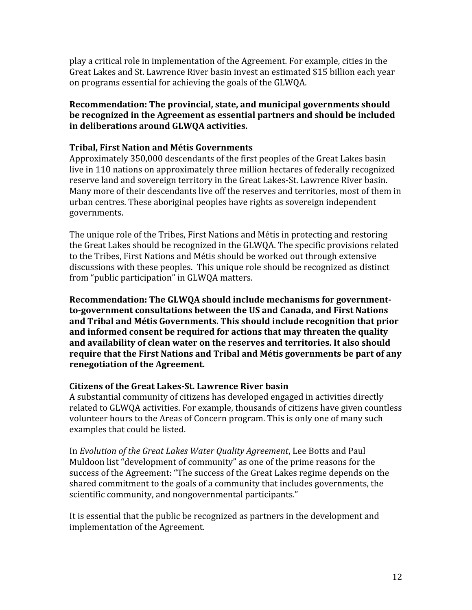play
a
critical
role
in
implementation
of
the
Agreement.
For
example,
cities
in
the Great
Lakes
and
St.
Lawrence
River
basin
invest
an
estimated
\$15
billion
each
year on
programs
essential
for
achieving
the
goals
of
the
GLWQA.

### **Recommendation:
The
provincial,
state,
and
municipal
governments
should**  be recognized in the Agreement as essential partners and should be included **in
deliberations
around
GLWQA
activities.**

### **Tribal,
First
Nation
and
Métis
Governments**

Approximately
350,000
descendants
of
the
first
peoples
of
the
Great
Lakes
basin live
in
110
nations
on
approximately
three
million
hectares
of
federally
recognized reserve land and sovereign territory in the Great Lakes-St. Lawrence River basin. Many more of their descendants live off the reserves and territories, most of them in urban
centres.
These
aboriginal
peoples
have
rights
as
sovereign
independent governments.

The unique role of the Tribes, First Nations and Métis in protecting and restoring the Great Lakes should be recognized in the GLWQA. The specific provisions related to
the
Tribes,
First
Nations
and
Métis
should
be
worked
out
through
extensive discussions
with
these
peoples.

This
unique
role
should
be
recognized
as
distinct from
"public
participation"
in
GLWQA
matters.

**Recommendation:
The
GLWQA
should
include
mechanisms
for
government**to-government consultations between the US and Canada, and First Nations **and
Tribal
and
Métis
Governments.
This
should
include
recognition
that
prior**  and informed consent be required for actions that may threaten the quality **and
availability
of
clean
water
on
the
reserves
and
territories.
It
also
should**  require that the First Nations and Tribal and Métis governments be part of any **renegotiation
of
the
Agreement.**

### Citizens of the Great Lakes-St. Lawrence River basin

A
substantial
community
of
citizens
has
developed
engaged
in
activities
directly related
to
GLWQA
activities.
For
example,
thousands
of
citizens
have
given
countless volunteer hours to the Areas of Concern program. This is only one of many such examples
that
could
be
listed.

In *Evolution
of
the
Great
Lakes
Water
Quality
Agreement*,
Lee
Botts
and
Paul Muldoon list "development of community" as one of the prime reasons for the success
of
the
Agreement:
"The
success
of
the
Great
Lakes
regime
depends
on
the shared commitment to the goals of a community that includes governments, the scientific
community,
and
nongovernmental
participants."

It is essential that the public be recognized as partners in the development and implementation
of
the
Agreement.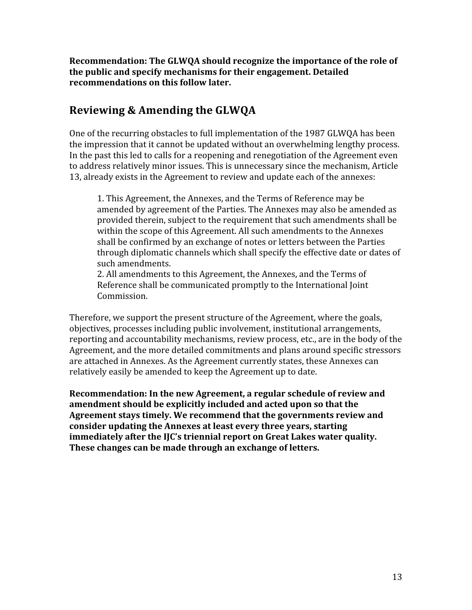Recommendation: The GLWQA should recognize the importance of the role of **the
public
and
specify
mechanisms
for
their
engagement.
Detailed recommendations
on
this
follow
later.**

# **Reviewing
&
Amending
the
GLWQA**

One of the recurring obstacles to full implementation of the 1987 GLWQA has been the
impression
that
it
cannot
be
updated
without
an
overwhelming
lengthy
process. In the past this led to calls for a reopening and renegotiation of the Agreement even to address relatively minor issues. This is unnecessary since the mechanism, Article 13,
already
exists
in
the
Agreement
to
review
and
update
each
of
the
annexes:

1.
This
Agreement,
the
Annexes,
and
the
Terms
of
Reference
may
be amended
by
agreement
of
the
Parties.
The
Annexes
may
also
be
amended
as provided
therein,
subject
to
the
requirement
that
such
amendments
shall
be within the scope of this Agreement. All such amendments to the Annexes shall
be
confirmed
by
an
exchange
of
notes
or
letters
between
the
Parties through
diplomatic
channels
which
shall
specify
the
effective
date
or
dates
of such
amendments.

2.
All
amendments
to
this
Agreement,
the
Annexes,
and
the
Terms
of Reference shall be communicated promptly to the International Joint Commission.

Therefore, we support the present structure of the Agreement, where the goals, objectives,
processes
including
public
involvement,
institutional
arrangements, reporting
and
accountability
mechanisms,
review
process,
etc.,
are
in
the
body
of
the Agreement,
and
the
more
detailed
commitments
and
plans
around
specific
stressors are
attached
in
Annexes.
As
the
Agreement
currently
states,
these
Annexes
can relatively
easily
be
amended
to
keep
the
Agreement
up
to
date.

Recommendation: In the new Agreement, a regular schedule of review and **amendment
should
be
explicitly
included
and
acted
upon
so
that
the**  Agreement stays timely. We recommend that the governments review and **consider
updating
the
Annexes
at
least
every
three
years,
starting**  immediately after the IIC's triennial report on Great Lakes water quality. These changes can be made through an exchange of letters.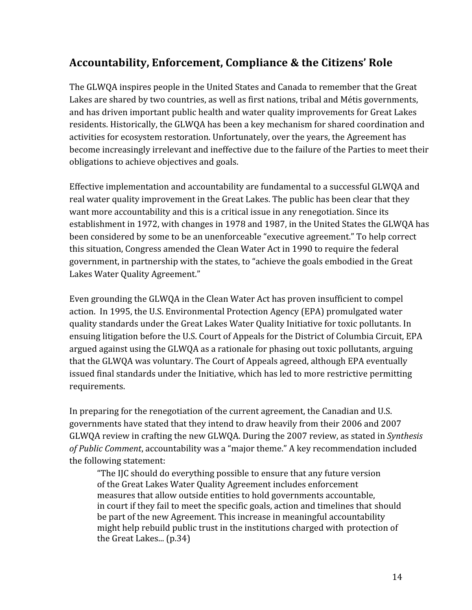# **Accountability,
Enforcement,
Compliance
&
the
Citizens'
Role**

The GLWQA inspires people in the United States and Canada to remember that the Great Lakes are shared by two countries, as well as first nations, tribal and Métis governments, and
has
driven
important
public
health
and
water
quality
improvements
for
Great
Lakes residents.
Historically,
the
GLWQA
has
been
a
key
mechanism
for
shared
coordination
and activities
for
ecosystem
restoration.
Unfortunately,
over
the
years,
the
Agreement
has become increasingly irrelevant and ineffective due to the failure of the Parties to meet their obligations
to
achieve
objectives
and
goals.

Effective
implementation
and
accountability
are
fundamental
to
a
successful
GLWQA
and real water quality improvement in the Great Lakes. The public has been clear that they want more accountability and this is a critical issue in any renegotiation. Since its establishment
in
1972,
with
changes
in
1978
and
1987,
in
the
United
States
the
GLWQA
has been considered by some to be an unenforceable "executive agreement." To help correct this
situation,
Congress
amended
the
Clean
Water
Act
in
1990
to
require
the
federal government,
in
partnership
with
the
states,
to
"achieve
the
goals
embodied
in
the
Great Lakes
Water
Quality
Agreement."

Even grounding the GLWQA in the Clean Water Act has proven insufficient to compel action.

In
1995,
the
U.S.
Environmental
Protection
Agency
(EPA)
promulgated
water quality
standards
under
the
Great
Lakes
Water
Quality
Initiative
for
toxic
pollutants.
In ensuing
litigation
before
the
U.S.
Court
of
Appeals
for
the
District
of
Columbia
Circuit,
EPA argued against using the GLWQA as a rationale for phasing out toxic pollutants, arguing that
the
GLWQA
was
voluntary.
The
Court
of
Appeals
agreed,
although
EPA
eventually issued final standards under the Initiative, which has led to more restrictive permitting requirements.

In preparing for the renegotiation of the current agreement, the Canadian and U.S. governments have stated that they intend to draw heavily from their 2006 and 2007 GLWQA
review
in
crafting
the
new
GLWQA.
During
the
2007
review,
as
stated
in *Synthesis*  of Public Comment, accountability was a "major theme." A key recommendation included the
following
statement:

"The
IJC
should
do
everything
possible
to
ensure
that
any
future
version of
the
Great
Lakes
Water
Quality
Agreement
includes
enforcement measures
that
allow
outside
entities
to
hold
governments
accountable, in
court
if
they
fail
to
meet
the
specific
goals,
action
and
timelines
that
should be part of the new Agreement. This increase in meaningful accountability might
help
rebuild
public
trust
in
the
institutions
charged
with
protection
of the
Great
Lakes...
(p.34)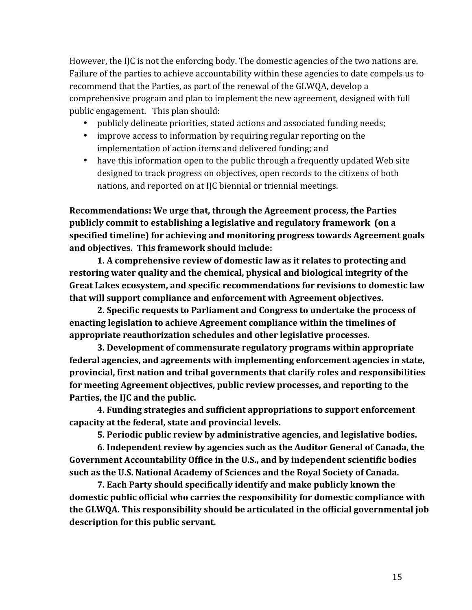However, the IJC is not the enforcing body. The domestic agencies of the two nations are. Failure of the parties to achieve accountability within these agencies to date compels us to recommend that the Parties, as part of the renewal of the GLWQA, develop a comprehensive
program
and
plan
to
implement
the
new
agreement,
designed
with
full public
engagement.

This
plan
should:

- publicly delineate priorities, stated actions and associated funding needs;
- improve access to information by requiring regular reporting on the implementation
of
action
items
and
delivered
funding;
and
- have this information open to the public through a frequently updated Web site designed to track progress on objectives, open records to the citizens of both nations,
and
reported
on
at
IJC
biennial
or
triennial
meetings.

**Recommendations:
We
urge
that,
through
the
Agreement
process,
the
Parties publicly
commit
to
establishing
a
legislative
and
regulatory
framework

(on
a**  specified timeline) for achieving and monitoring progress towards Agreement goals **and
objectives.

This
framework
should
include:**

**1.
A
comprehensive
review
of
domestic
law
as
it
relates
to
protecting
and**  restoring water quality and the chemical, physical and biological integrity of the **Great
Lakes
ecosystem,
and
specific
recommendations
for
revisions
to
domestic
law that
will
support
compliance
and
enforcement
with
Agreement
objectives.**

**2.
Specific
requests
to
Parliament
and
Congress
to
undertake
the
process
of**  enacting legislation to achieve Agreement compliance within the timelines of appropriate reauthorization schedules and other legislative processes.

**3.
Development
of
commensurate
regulatory
programs
within
appropriate**  federal agencies, and agreements with implementing enforcement agencies in state, **provincial,
first
nation
and
tribal
governments
that
clarify
roles
and
responsibilities**  for meeting Agreement objectives, public review processes, and reporting to the **Parties,
the
IJC
and
the
public.**

**4.
Funding
strategies
and
sufficient
appropriations
to
support
enforcement capacity
at
the
federal,
state
and
provincial
levels.**

**5.
Periodic
public
review
by
administrative
agencies,
and
legislative
bodies.**

**6.
Independent
review
by
agencies
such
as
the
Auditor
General
of
Canada,
the**  Government Accountability Office in the U.S., and by independent scientific bodies such as the U.S. National Academy of Sciences and the Royal Society of Canada.

**7.
Each
Party
should
specifically
identify
and
make
publicly
known
the**  domestic public official who carries the responsibility for domestic compliance with **the
GLWQA.
This
responsibility
should
be
articulated
in
the
official
governmental
job description
for this
public
servant.**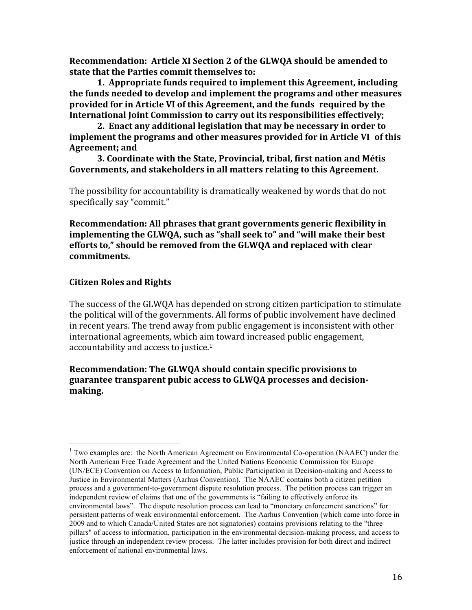Recommendation: Article XI Section 2 of the GLWQA should be amended to **state
that
the
Parties
commit
themselves
to:**

**1.

Appropriate
funds
required
to
implement
this
Agreement,
including the
funds
needed
to
develop
and
implement
the
programs
and
other
measures provided
for
in
Article
VI
of
this
Agreement,
and
the
funds required
by
the**  International loint Commission to carry out its responsibilities effectively;

2. Enact any additional legislation that may be necessary in order to **implement
the
programs
and
other
measures
provided
for
in
Article
VI of
this Agreement;
and**

**3.
Coordinate
with
the
State,
Provincial,
tribal,
first
nation
and
Métis**  Governments, and stakeholders in all matters relating to this Agreement.

The possibility for accountability is dramatically weakened by words that do not specifically
say
"commit."

Recommendation: All phrases that grant governments generic flexibility in implementing the GLWQA, such as "shall seek to" and "will make their best efforts to," should be removed from the GLWQA and replaced with clear **commitments.**

#### **Citizen
Roles
and
Rights**

The
success
of
the
GLWQA
has
depended
on
strong
citizen
participation
to
stimulate the
political
will
of
the
governments.
All
forms
of
public
involvement
have
declined in
recent
years.
The
trend
away
from
public
engagement
is
inconsistent
with
other international
agreements,
which
aim
toward
increased
public
engagement, accountability and access to justice.<sup>1</sup>

### **Recommendation:
The
GLWQA
should
contain
specific
provisions
to guarantee
transparent
pubic
access
to
GLWQA
processes
and
decisionmaking.**

<sup>&</sup>lt;sup>1</sup> Two examples are: the North American Agreement on Environmental Co-operation (NAAEC) under the North American Free Trade Agreement and the United Nations Economic Commission for Europe (UN/ECE) Convention on Access to Information, Public Participation in Decision-making and Access to Justice in Environmental Matters (Aarhus Convention). The NAAEC contains both a citizen petition process and a government-to-government dispute resolution process. The petition process can trigger an independent review of claims that one of the governments is "failing to effectively enforce its environmental laws". The dispute resolution process can lead to "monetary enforcement sanctions" for persistent patterns of weak environmental enforcement. The Aarhus Convention (which came into force in 2009 and to which Canada/United States are not signatories) contains provisions relating to the "three pillars" of access to information, participation in the environmental decision-making process, and access to justice through an independent review process. The latter includes provision for both direct and indirect enforcement of national environmental laws.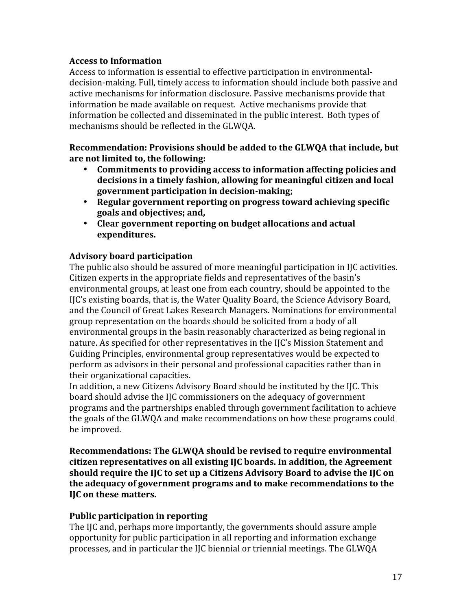### **Access
to
Information**

Access to information is essential to effective participation in environmentaldecision-making. Full, timely access to information should include both passive and active
mechanisms
for
information
disclosure.
Passive
mechanisms
provide
that information
be
made
available
on
request.

Active
mechanisms
provide
that information
be
collected
and
disseminated
in
the
public
interest.

Both
types
of mechanisms
should
be
reflected
in
the
GLWQA.

Recommendation: Provisions should be added to the GLWQA that include, but **are
not
limited
to,
the
following:**

- Commitments to providing access to information affecting policies and decisions in a timely fashion, allowing for meaningful citizen and local government participation in decision-making;
- Regular government reporting on progress toward achieving specific **goals
and
objectives;
and,**
- Clear government reporting on budget allocations and actual **expenditures.**

## **Advisory
board
participation**

The public also should be assured of more meaningful participation in IJC activities. Citizen experts in the appropriate fields and representatives of the basin's environmental groups, at least one from each country, should be appointed to the IJC's existing boards, that is, the Water Quality Board, the Science Advisory Board, and
the
Council
of
Great
Lakes
Research
Managers.
Nominations
for
environmental group
representation
on
the
boards
should
be
solicited
from
a
body
of
all environmental groups in the basin reasonably characterized as being regional in nature. As specified for other representatives in the IJC's Mission Statement and Guiding
Principles,
environmental
group
representatives
would
be
expected
to perform as advisors in their personal and professional capacities rather than in their
organizational
capacities.

In addition, a new Citizens Advisory Board should be instituted by the IIC. This board
should
advise
the
IJC
commissioners
on
the
adequacy
of
government programs
and
the
partnerships
enabled
through
government
facilitation
to
achieve the
goals
of
the
GLWQA
and
make
recommendations
on
how
these
programs
could be
improved.

**Recommendations:
The
GLWQA
should
be
revised
to
require
environmental citizen
representatives
on
all
existing
IJC
boards.
In
addition,
the
Agreement**  should require the IJC to set up a Citizens Advisory Board to advise the IJC on **the
adequacy
of
government
programs
and
to
make
recommendations
to
the IJC
on
these
matters.**

### **Public
participation
in
reporting**

The
IJC
and,
perhaps
more
importantly,
the
governments
should
assure
ample opportunity
for
public
participation
in
all
reporting
and
information
exchange processes,
and
in
particular
the
IJC
biennial
or
triennial
meetings.
The
GLWQA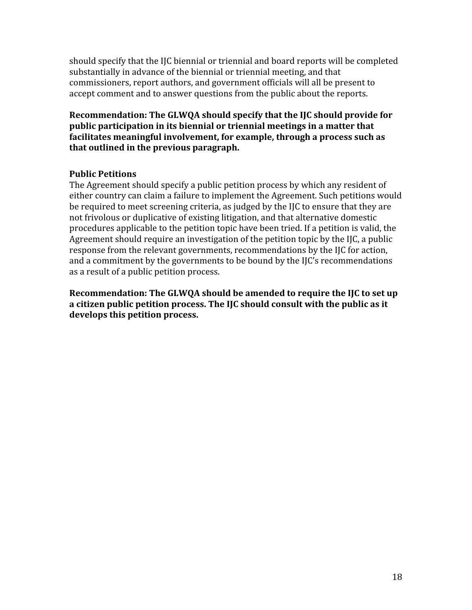should specify that the IJC biennial or triennial and board reports will be completed substantially in advance of the biennial or triennial meeting, and that commissioners,
report
authors,
and
government
officials
will
all
be
present
to accept comment and to answer questions from the public about the reports.

Recommendation: The GLWQA should specify that the IJC should provide for public participation in its biennial or triennial meetings in a matter that **facilitates
meaningful
involvement,
for
example,
through
a
process
such
as that
outlined
in
the
previous
paragraph.**

### **Public
Petitions**

The
Agreement
should
specify
a
public
petition
process
by
which
any
resident
of either country can claim a failure to implement the Agreement. Such petitions would be required to meet screening criteria, as judged by the IJC to ensure that they are not frivolous or duplicative of existing litigation, and that alternative domestic procedures applicable to the petition topic have been tried. If a petition is valid, the Agreement should require an investigation of the petition topic by the IJC, a public response from the relevant governments, recommendations by the IIC for action. and a commitment by the governments to be bound by the IJC's recommendations as
a
result
of
a
public
petition
process.

Recommendation: The GLWQA should be amended to require the IJC to set up a citizen public petition process. The IJC should consult with the public as it **develops
this
petition
process.**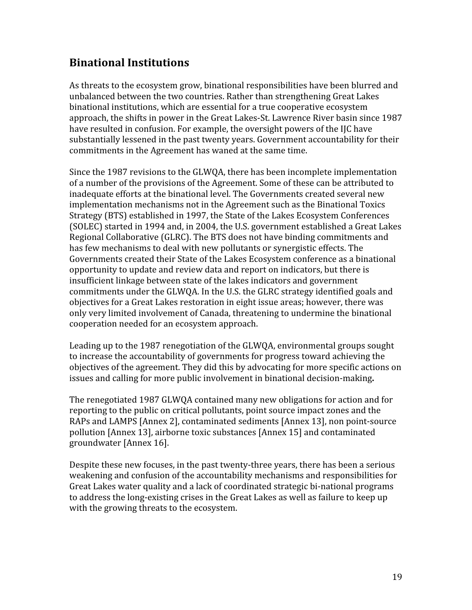# **Binational
Institutions**

As
threats
to
the
ecosystem
grow,
binational
responsibilities
have
been
blurred
and unbalanced between the two countries. Rather than strengthening Great Lakes binational
institutions,
which
are
essential
for
a
true
cooperative
ecosystem approach,
the
shifts
in
power
in
the
Great
Lakes‐St.
Lawrence
River
basin
since
1987 have resulted in confusion. For example, the oversight powers of the IJC have substantially lessened in the past twenty years. Government accountability for their commitments
in
the
Agreement
has
waned
at
the
same
time.

Since
the
1987
revisions
to
the
GLWQA,
there
has
been
incomplete
implementation of a number of the provisions of the Agreement. Some of these can be attributed to inadequate
efforts
at
the
binational
level.
The
Governments
created
several
new implementation
mechanisms
not
in
the
Agreement
such
as
the
Binational
Toxics Strategy
(BTS)
established
in
1997,
the
State
of
the
Lakes
Ecosystem
Conferences (SOLEC)
started
in
1994
and,
in
2004,
the
U.S.
government
established
a
Great
Lakes Regional
Collaborative
(GLRC).
The
BTS
does
not
have
binding
commitments
and has
few
mechanisms
to
deal
with
new
pollutants
or
synergistic
effects.
The Governments created their State of the Lakes Ecosystem conference as a binational opportunity
to
update
and
review
data
and
report
on
indicators,
but
there
is insufficient
linkage
between
state
of
the
lakes
indicators
and
government commitments
under
the
GLWQA.
In
the
U.S.
the
GLRC
strategy
identified
goals
and objectives for a Great Lakes restoration in eight issue areas; however, there was only
very
limited
involvement
of
Canada,
threatening
to
undermine
the
binational cooperation
needed
for
an
ecosystem
approach.

Leading up to the 1987 renegotiation of the GLWOA, environmental groups sought to
increase
the
accountability
of
governments
for
progress
toward
achieving
the objectives
of
the
agreement.
They
did
this
by
advocating
for
more
specific
actions
on issues
and
calling
for
more
public
involvement
in
binational
decision‐making**.**

The
renegotiated
1987
GLWQA
contained
many
new
obligations
for
action
and
for reporting to the public on critical pollutants, point source impact zones and the RAPs
and
LAMPS
[Annex
2],
contaminated
sediments
[Annex
13],
non
point‐source pollution
[Annex
13],
airborne
toxic
substances
[Annex
15]
and
contaminated groundwater
[Annex
16].

Despite these new focuses, in the past twenty-three years, there has been a serious weakening and confusion of the accountability mechanisms and responsibilities for Great Lakes water quality and a lack of coordinated strategic bi-national programs to address the long-existing crises in the Great Lakes as well as failure to keep up with the growing threats to the ecosystem.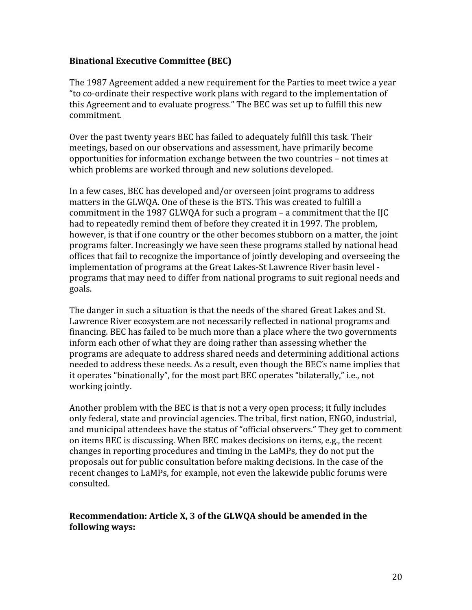### **Binational
Executive
Committee
(BEC)**

The 1987 Agreement added a new requirement for the Parties to meet twice a year "to
co‐ordinate
their
respective
work
plans
with
regard
to
the
implementation
of this
Agreement
and
to
evaluate
progress."
The
BEC
was
set
up
to
fulfill
this
new commitment.

Over the past twenty years BEC has failed to adequately fulfill this task. Their meetings,
based
on
our
observations
and
assessment,
have
primarily
become opportunities
for
information
exchange
between
the
two
countries
–
not
times
at which problems are worked through and new solutions developed.

In
a
few
cases,
BEC
has
developed
and/or
overseen
joint
programs
to
address matters in the GLWQA. One of these is the BTS. This was created to fulfill a commitment in the 1987 GLWOA for such a program – a commitment that the IIC had to repeatedly remind them of before they created it in 1997. The problem, however, is that if one country or the other becomes stubborn on a matter, the joint programs
falter.
Increasingly
we
have
seen
these
programs
stalled
by
national
head offices
that
fail
to
recognize
the
importance
of
jointly
developing
and
overseeing
the implementation of programs at the Great Lakes-St Lawrence River basin level programs
that
may
need
to
differ
from
national
programs
to
suit
regional
needs
and goals.

The danger in such a situation is that the needs of the shared Great Lakes and St. Lawrence River ecosystem are not necessarily reflected in national programs and financing. BEC has failed to be much more than a place where the two governments inform
each
other
of
what
they
are
doing
rather
than
assessing
whether
the programs
are
adequate
to
address
shared
needs
and
determining
additional
actions needed to address these needs. As a result, even though the BEC's name implies that it operates "binationally", for the most part BEC operates "bilaterally," i.e., not working
jointly.

Another problem with the BEC is that is not a very open process; it fully includes only
federal,
state
and
provincial
agencies.
The
tribal,
first
nation,
ENGO,
industrial, and municipal attendees have the status of "official observers." They get to comment on
items
BEC
is
discussing.
When
BEC
makes
decisions
on
items,
e.g.,
the
recent changes
in
reporting
procedures
and
timing
in
the
LaMPs,
they
do
not
put
the proposals
out
for
public
consultation
before
making
decisions.
In
the
case
of
the recent changes to LaMPs, for example, not even the lakewide public forums were consulted.

### **Recommendation:
Article
X,
3
of
the
GLWQA
should
be
amended
in
the following
ways:**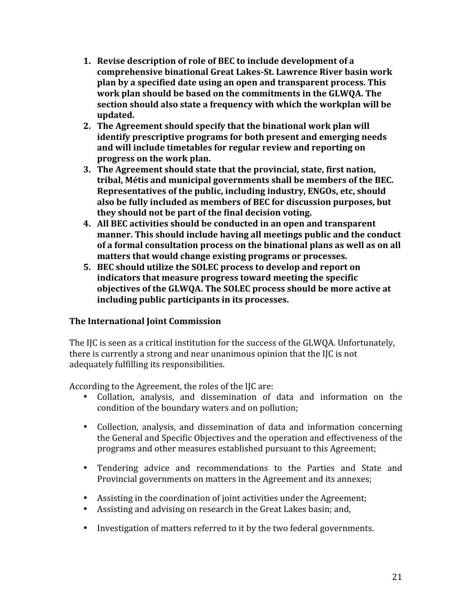- **1. Revise
description
of
role
of
BEC
to
include
development
of
a**  comprehensive binational Great Lakes-St. Lawrence River basin work **plan
by
a
specified
date
using
an
open
and
transparent
process.
This**  work plan should be based on the commitments in the GLWQA. The section should also state a frequency with which the workplan will be **updated.**
- **2. The
Agreement
should
specify
that
the
binational
work
plan
will identify
prescriptive
programs
for
both
present
and
emerging
needs and
will
include
timetables
for
regular
review
and
reporting
on progress
on
the
work
plan.**
- **3. The
Agreement
should
state
that
the
provincial,
state,
first
nation, tribal,
Métis
and
municipal
governments
shall
be
members
of
the
BEC. Representatives
of
the
public,
including
industry,
ENGOs,
etc,
should also
be
fully
included
as
members
of
BEC
for
discussion
purposes,
but they
should
not
be
part
of
the
final
decision
voting.**
- **4. All
BEC
activities
should
be
conducted
in
an
open
and
transparent**  manner. This should include having all meetings public and the conduct of a formal consultation process on the binational plans as well as on all **matters
that
would
change
existing
programs
or
processes.**
- **5. BEC
should
utilize
the
SOLEC
process
to
develop
and
report
on indicators
that
measure
progress
toward
meeting
the
specific**  objectives of the GLWQA. The SOLEC process should be more active at **including
public
participants
in
its
processes.**

## **The
International
Joint
Commission**

The IJC is seen as a critical institution for the success of the GLWQA. Unfortunately, there is currently a strong and near unanimous opinion that the IJC is not adequately
fulfilling
its
responsibilities.

According to the Agreement, the roles of the IIC are:

- Collation, analysis, and dissemination of data and information on the condition
of
the
boundary
waters
and
on
pollution;
- Collection, analysis, and dissemination of data and information concerning the General and Specific Objectives and the operation and effectiveness of the programs
and
other
measures
established
pursuant
to
this
Agreement;
- Tendering advice and recommendations to the Parties and State and Provincial governments on matters in the Agreement and its annexes;
- Assisting in the coordination of joint activities under the Agreement;
- Assisting and advising on research in the Great Lakes basin; and,
- Investigation of matters referred to it by the two federal governments.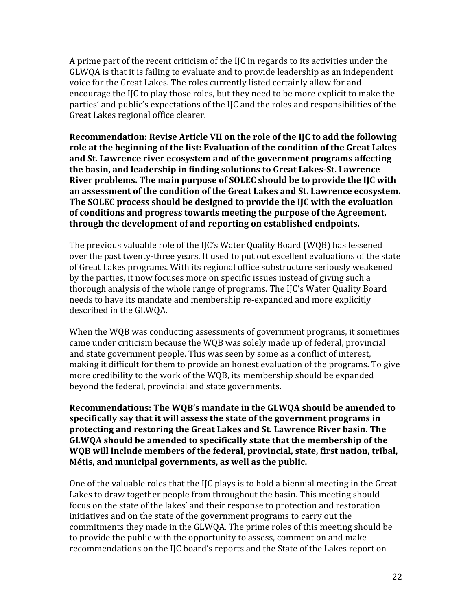A prime part of the recent criticism of the IJC in regards to its activities under the GLWQA is that it is failing to evaluate and to provide leadership as an independent voice for the Great Lakes. The roles currently listed certainly allow for and encourage the IIC to play those roles, but they need to be more explicit to make the parties'
and
public's
expectations
of
the
IJC
and
the
roles
and
responsibilities
of
the Great
Lakes
regional
office
clearer.

Recommendation: Revise Article VII on the role of the IJC to add the following role at the beginning of the list: Evaluation of the condition of the Great Lakes and St. Lawrence river ecosystem and of the government programs affecting the basin, and leadership in finding solutions to Great Lakes-St. Lawrence River problems. The main purpose of SOLEC should be to provide the IIC with **an
assessment
of
the
condition
of
the
Great
Lakes
and
St.
Lawrence
ecosystem.**  The SOLEC process should be designed to provide the IJC with the evaluation **of
conditions
and
progress
towards
meeting
the
purpose
of
the
Agreement, through
the
development
of
and
reporting
on
established
endpoints.**

The previous valuable role of the IJC's Water Quality Board (WQB) has lessened over the past twenty-three years. It used to put out excellent evaluations of the state of
Great
Lakes
programs.
With
its
regional
office
substructure
seriously
weakened by
the
parties,
it
now
focuses
more
on
specific
issues
instead
of
giving
such
a thorough
analysis
of
the
whole
range
of
programs.
The
IJC's
Water
Quality
Board needs
to
have
its
mandate
and
membership
re‐expanded
and
more
explicitly described
in
the
GLWQA.

When the WQB was conducting assessments of government programs, it sometimes came
under
criticism
because
the
WQB
was
solely
made
up
of
federal,
provincial and
state
government
people.
This
was
seen
by
some
as
a
conflict
of
interest, making it difficult for them to provide an honest evaluation of the programs. To give more credibility to the work of the WQB, its membership should be expanded beyond
the
federal,
provincial
and
state
governments.

Recommendations: The WOB's mandate in the GLWOA should be amended to **specifically
say
that
it
will
assess
the
state
of
the
government
programs
in**  protecting and restoring the Great Lakes and St. Lawrence River basin. The **GLWQA
should
be
amended
to
specifically
state
that
the
membership
of
the**  WQB will include members of the federal, provincial, state, first nation, tribal, **Métis,
and
municipal
governments,
as
well
as
the
public.**

One of the valuable roles that the IIC plays is to hold a biennial meeting in the Great Lakes to draw together people from throughout the basin. This meeting should focus on the state of the lakes' and their response to protection and restoration initiatives and on the state of the government programs to carry out the commitments
they
made
in
the
GLWQA.
The
prime
roles
of
this
meeting
should
be to provide the public with the opportunity to assess, comment on and make recommendations on the IJC board's reports and the State of the Lakes report on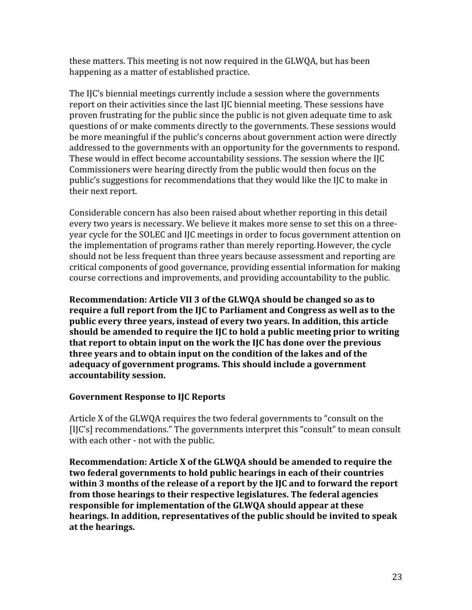these
matters.
This
meeting
is
not
now
required
in
the
GLWQA,
but
has
been happening
as
a
matter
of
established
practice.

The
IJC's
biennial
meetings
currently
include
a
session
where
the
governments report on their activities since the last IJC biennial meeting. These sessions have proven frustrating for the public since the public is not given adequate time to ask questions
of
or
make
comments
directly
to
the
governments.
These
sessions
would be more meaningful if the public's concerns about government action were directly addressed
to
the
governments
with
an
opportunity
for
the
governments
to
respond. These would in effect become accountability sessions. The session where the IJC Commissioners
were
hearing
directly
from
the
public
would
then
focus
on
the public's suggestions for recommendations that they would like the IJC to make in their
next
report.

Considerable concern has also been raised about whether reporting in this detail every two years is necessary. We believe it makes more sense to set this on a threeyear
cycle
for
the
SOLEC
and
IJC
meetings
in
order
to
focus
government
attention
on the
implementation
of
programs
rather
than
merely
reporting.However,
the
cycle should
not
be
less
frequent
than
three
years
because
assessment
and
reporting
are critical
components
of
good
governance,
providing
essential
information
for
making course
corrections
and
improvements,
and
providing
accountability
to
the
public.

Recommendation: Article VII 3 of the GLWQA should be changed so as to require a full report from the IIC to Parliament and Congress as well as to the **public
every
three
years,
instead
of
every
two
years.
In
addition,
this
article**  should be amended to require the IJC to hold a public meeting prior to writing that report to obtain input on the work the IJC has done over the previous three years and to obtain input on the condition of the lakes and of the **adequacy
of
government
programs.
This
should
include
a
government accountability
session.**

## **Government
Response
to
IJC
Reports**

Article X of the GLWQA requires the two federal governments to "consult on the [I]C's] recommendations." The governments interpret this "consult" to mean consult with each other - not with the public.

Recommendation: Article X of the GLWQA should be amended to require the **two
federal
governments
to
hold
public
hearings
in
each
of
their
countries**  within 3 months of the release of a report by the IIC and to forward the report **from
those
hearings
to
their
respective
legislatures.
The
federal
agencies responsible
for
implementation
of
the
GLWQA
should
appear
at
these**  hearings. In addition, representatives of the public should be invited to speak **at
the
hearings.**